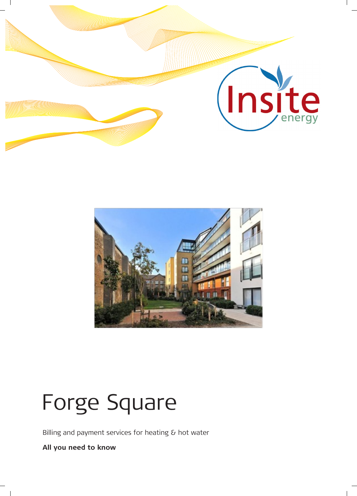



# Forge Square

Billing and payment services for heating & hot water

**All you need to know**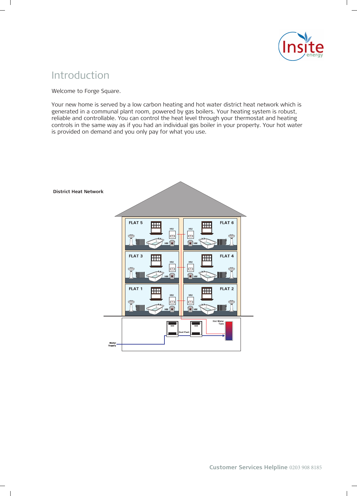

# Introduction

Welcome to Forge Square.

Your new home is served by a low carbon heating and hot water district heat network which is generated in a communal plant room, powered by gas boilers. Your heating system is robust, reliable and controllable. You can control the heat level through your thermostat and heating controls in the same way as if you had an individual gas boiler in your property. Your hot water is provided on demand and you only pay for what you use.

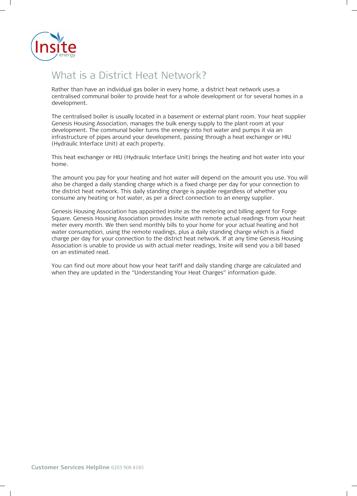

# What is a District Heat Network?

Rather than have an individual gas boiler in every home, a district heat network uses a centralised communal boiler to provide heat for a whole development or for several homes in a development.

The centralised boiler is usually located in a basement or external plant room. Your heat supplier Genesis Housing Association, manages the bulk energy supply to the plant room at your development. The communal boiler turns the energy into hot water and pumps it via an infrastructure of pipes around your development, passing through a heat exchanger or HIU (Hydraulic Interface Unit) at each property.

This heat exchanger or HIU (Hydraulic Interface Unit) brings the heating and hot water into your home.

The amount you pay for your heating and hot water will depend on the amount you use. You will also be charged a daily standing charge which is a fixed charge per day for your connection to the district heat network. This daily standing charge is payable regardless of whether you consume any heating or hot water, as per a direct connection to an energy supplier.

Genesis Housing Association has appointed Insite as the metering and billing agent for Forge Square. Genesis Housing Association provides Insite with remote actual readings from your heat meter every month. We then send monthly bills to your home for your actual heating and hot water consumption, using the remote readings, plus a daily standing charge which is a fixed charge per day for your connection to the district heat network. If at any time Genesis Housing Association is unable to provide us with actual meter readings, Insite will send you a bill based on an estimated read.

You can find out more about how your heat tariff and daily standing charge are calculated and when they are updated in the "Understanding Your Heat Charges" information guide.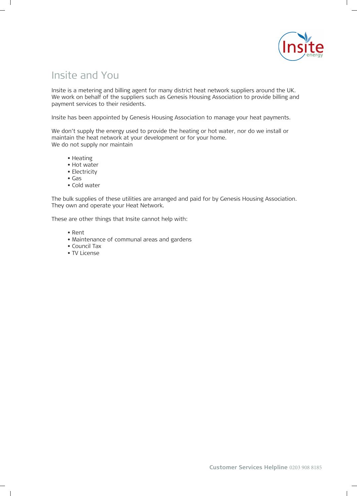

# Insite and You

Insite is a metering and billing agent for many district heat network suppliers around the UK. We work on behalf of the suppliers such as Genesis Housing Association to provide billing and payment services to their residents.

Insite has been appointed by Genesis Housing Association to manage your heat payments.

We don't supply the energy used to provide the heating or hot water, nor do we install or maintain the heat network at your development or for your home. We do not supply nor maintain

- Heating Heating
	- Hot water
- Hot water Electricity
- Gas
- Cold water

The bulk supplies of these utilities are arranged and paid for by Genesis Housing Association. They own and operate your Heat Network.

These are other things that Insite cannot help with:

- Rent
- Maintenance of communal areas and gardens
- $\bullet$  Council Tax
- $\ldots$  measure • TV License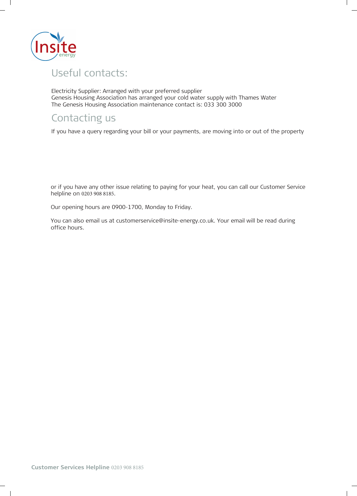

# Useful contacts: Useful contacts:

Electricity Supplier: Arranged with your preferred supplier Genesis Housing Association has arranged your cold water supply with Thames Water The Genesis Housing Association maintenance contact is: 033 300 3000

# Contacting us

If you have a query regarding your bill or your payments, are moving into or out of the property<br>

or if you have any other issue relating to paying for your heat, you can call our Customer Service helpline on 0203 908 8185.

Our opening hours are 0900-1700, Monday to Friday.

You can also email us at customerservice@insite-energy.co.uk. Your email will be read during office hours.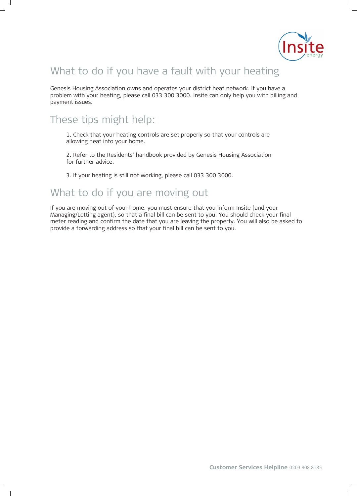

# What to do if you have a fault with your heating

Genesis Housing Association owns and operates your district heat network. If you have a problem with your heating, please call 033 300 3000. Insite can only help you with billing and payment issues. payment issues.

# These tips might help:

1. Check that your heating controls are set properly so that your controls are allowing heat into your home.

2. Refer to the Residents' handbook provided by Genesis Housing Association for further advice.

3. If your heating is still not working, please call 033 300 3000.

### What to do if you are moving out

If you are moving out of your home, you must ensure that you inform Insite (and your Managing/Letting agent), so that a final bill can be sent to you. You should check your final meter reading and confirm the date that you are leaving the property. You will also be asked to provide a forwarding address so that your final bill can be sent to you.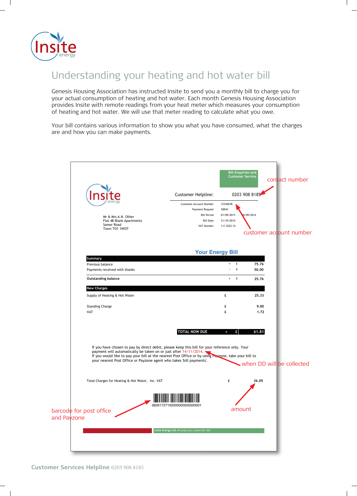

# Understanding your heating and hot water bill

Genesis Housing Association has instructed Insite to send you a monthly bill to charge you for your actual consumption of heating and hot water. Each month Genesis Housing Association provides Insite with remote readings from your heat meter which measures your consumption of heating and hot water. We will use that meter reading to calculate what you owe.

Your bill contains various information to show you what you have consumed, what the charges are and how you can make payments.

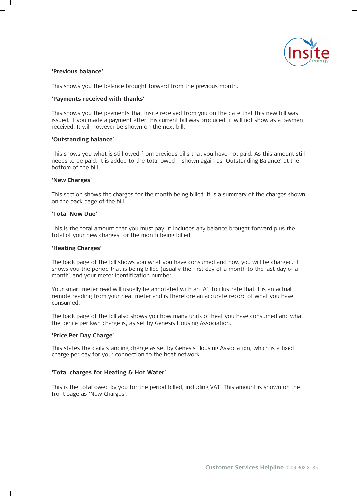

#### **'Previous balance'**

This shows you the balance brought forward from the previous month.

#### **'Payments received with thanks'**

This shows you the payments that Insite received from you on the date that this new bill was issued. If you made a payment after this current bill was produced, it will not show as a payment received. It will however be shown on the next bill.

#### **'Outstanding balance'**

This shows you what is still owed from previous bills that you have not paid. As this amount still needs to be paid, it is added to the total owed – shown again as 'Outstanding Balance' at the bottom of the bill.

#### **'New Charges'**

This section shows the charges for the month being billed. It is a summary of the charges shown on the back page of the bill.

#### **'Total Now Due'**

This is the total amount that you must pay. It includes any balance brought forward plus the total of your new charges for the month being billed.

#### **'Heating Charges'**

The back page of the bill shows you what you have consumed and how you will be charged. It shows you the period that is being billed (usually the first day of a month to the last day of a month) and your meter identification number.

Your smart meter read will usually be annotated with an 'A', to illustrate that it is an actual remote reading from your heat meter and is therefore an accurate record of what you have consumed.

The back page of the bill also shows you how many units of heat you have consumed and what the pence per kwh charge is, as set by Genesis Housing Association.

#### **'Price Per Day Charge'**

**'Price Per Day Charge'** charge per day for your connection to the heat network. This states the daily standing charge as set by Genesis Housing Association, which is a fixed

#### **'Total charges for Heating & Hot Water' 'Total charges for Heating & Hot Water'**

front page as 'New Charges'.  $\frac{1}{2}$  is the chargest page as  $\frac{1}{2}$ This is the total owed by you for the period billed, including VAT. This amount is shown on the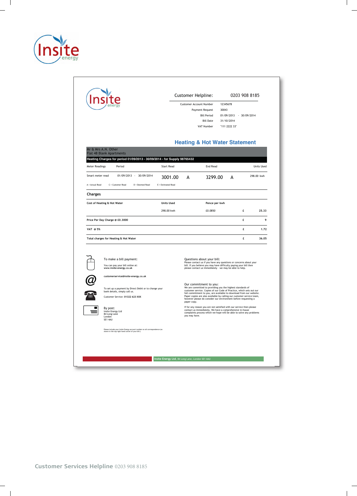

|                                                                                                                                                                       |                                                       | Customer Helpline:<br>Customer Account Number<br>Payment Request<br><b>Bill Period</b><br><b>Bill Date</b><br>VAT Number                                                                                                          | 12345678<br>30043<br>01/09/2013 - 30/09/2014<br>31/10/2014<br>"111 2222 33"                                                                                                                                                                                                                                                                                                                   | 0203 908 8185 |                   |  |
|-----------------------------------------------------------------------------------------------------------------------------------------------------------------------|-------------------------------------------------------|-----------------------------------------------------------------------------------------------------------------------------------------------------------------------------------------------------------------------------------|-----------------------------------------------------------------------------------------------------------------------------------------------------------------------------------------------------------------------------------------------------------------------------------------------------------------------------------------------------------------------------------------------|---------------|-------------------|--|
| Mr & Mrs A.N. Other<br><b>Flat 48 Blank Apartments</b><br>Heating Charges for period 01/09/2013 - 30/09/2014 - for Supply 98765432<br><b>Meter Readings</b><br>Period | <b>Start Read</b>                                     | <b>Heating &amp; Hot Water Statement</b><br>End Read                                                                                                                                                                              |                                                                                                                                                                                                                                                                                                                                                                                               |               | <b>Units Used</b> |  |
| 01/09/2013 - 30/09/2014<br>Smart meter read                                                                                                                           | 3001.00                                               | 3299.00<br>А                                                                                                                                                                                                                      | А                                                                                                                                                                                                                                                                                                                                                                                             |               | 298.00 kwh        |  |
| A = Actual Read<br>C = Customer Read<br>D = Deemed Read                                                                                                               | E = Estimated Read                                    |                                                                                                                                                                                                                                   |                                                                                                                                                                                                                                                                                                                                                                                               |               |                   |  |
| Charges                                                                                                                                                               |                                                       |                                                                                                                                                                                                                                   |                                                                                                                                                                                                                                                                                                                                                                                               |               |                   |  |
| Cost of Heating & Hot Water                                                                                                                                           | <b>Units Used</b>                                     |                                                                                                                                                                                                                                   | Pence per kwh                                                                                                                                                                                                                                                                                                                                                                                 |               |                   |  |
|                                                                                                                                                                       | 298.00 kwh                                            | £0.0850                                                                                                                                                                                                                           |                                                                                                                                                                                                                                                                                                                                                                                               | £             | 25.33             |  |
| Price Per Day Charge @ £0,3000                                                                                                                                        |                                                       |                                                                                                                                                                                                                                   |                                                                                                                                                                                                                                                                                                                                                                                               | £             | 9                 |  |
| VAT @ 5%                                                                                                                                                              |                                                       |                                                                                                                                                                                                                                   |                                                                                                                                                                                                                                                                                                                                                                                               | £             | 1.72              |  |
| Total charges for Heating & Hot Water                                                                                                                                 |                                                       |                                                                                                                                                                                                                                   |                                                                                                                                                                                                                                                                                                                                                                                               | £             | 36,05             |  |
| To make a bill payment:<br>You can pay your bill online at:<br>www.insite-energy.co.uk<br>customerservice@insite-energy.co.uk                                         |                                                       | Questions about your bill:<br>Please contact us if you have any questions or concerns about your<br>bill. If you believe you may have difficulty paying your bill then<br>please contact us immediately - we may be able to help. |                                                                                                                                                                                                                                                                                                                                                                                               |               |                   |  |
| bank details, simply call us.<br>Customer Service: 01322 623 XXX                                                                                                      | To set up a payment by Direct Debit or to change your |                                                                                                                                                                                                                                   | Our commitment to you:<br>We are committed to providing you the highest standards of<br>customer service. Copies of our Code of Practice, which sets out our<br>full commitment to you, are available to download from our website.<br>Paper copies are also available by calling our customer service team,<br>however please do consider our environment before requesting a<br>paper copy. |               |                   |  |
| By post:<br>Insite Energy Ltd<br>84 Long Lane<br>London<br>SE1 4AU                                                                                                    |                                                       |                                                                                                                                                                                                                                   | If for any reason you are not satisfied with our service then please<br>contact us immediately. We have a comprehensive in-house<br>complaints process which we hope will be able to solve any problems<br>you may have.                                                                                                                                                                      |               |                   |  |
|                                                                                                                                                                       |                                                       |                                                                                                                                                                                                                                   |                                                                                                                                                                                                                                                                                                                                                                                               |               |                   |  |
| Please include your Insite Energy account number on all correspondence (as shown in the top right hand corner of your bill.)                                          |                                                       |                                                                                                                                                                                                                                   |                                                                                                                                                                                                                                                                                                                                                                                               |               |                   |  |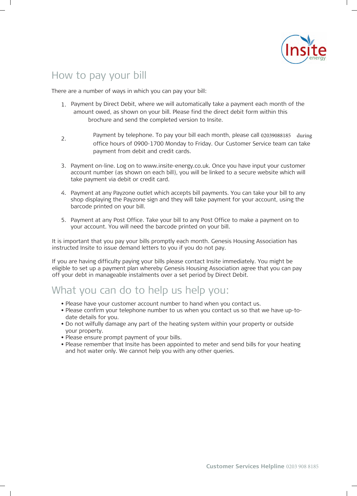

# How to pay your bill

There are a number of ways in which you can pay your bill:

- 1. Payment by Direct Debit, where we will automatically take a payment each month Payment by Direct Debit, where we will automatically take a payment each month of the amount owed, as shown on your bill. Please find the direct debit form within this brochure and send the completed version to Insite.
- 2. Payment by telephone. To pay your bill each month, please call 02039088185 during office hours of 0900-1700 Monday to Friday. Our Customer Service team can take payment from debit and credit cards.
- 3. Payment on-line. Log on to www.insite-energy.co.uk. Once you have input your customer account number (as shown on each bill), you will be linked to a secure website which will take payment via debit or credit card.
- 4. Payment at any Payzone outlet which accepts bill payments. You can take your bill to any shop displaying the Payzone sign and they will take payment for your account, using the barcode printed on your bill.
- 5. Payment at any Post Office. Take your bill to any Post Office to make a payment on to your account. You will need the barcode printed on your bill.

It is important that you pay your bills promptly each month. Genesis Housing Association has instructed Insite to issue demand letters to you if you do not pay.

If you are having difficulty paying your bills please contact Insite immediately. You might be eligible to set up a payment plan whereby Genesis Housing Association agree that you can pay off your debt in manageable instalments over a set period by Direct Debit.

### What you can do to help us help you:

- What you can do to help us help you: Please have your customer account number to hand when you contact us.
	- Please confirm your telephone number to us when you contact us so that we have up-to-<br>halo date it for when date details for you.
	- Do not wilfully damage any part of the heating system within your property or outside your property.
	- Please ensure prompt payment of your bills.
	- Please remember that Insite has been appointed to meter and send bills for your heating and hot water only. We cannot help you with any other queries.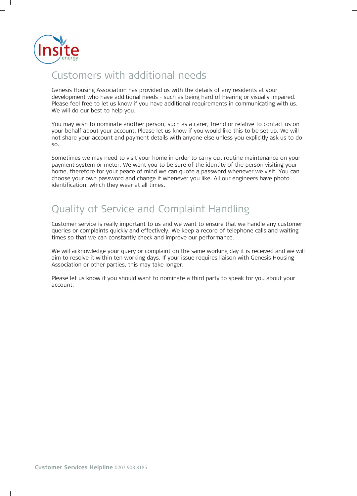

# Customers with additional needs

Genesis Housing Association has provided us with the details of any residents at your development who have additional needs - such as being hard of hearing or visually impaired. Please feel free to let us know if you have additional requirements in communicating with us. We will do our best to help you.

You may wish to nominate another person, such as a carer, friend or relative to contact us on your behalf about your account. Please let us know if you would like this to be set up. We will not share your account and payment details with anyone else unless you explicitly ask us to do so.

Sometimes we may need to visit your home in order to carry out routine maintenance on your payment system or meter. We want you to be sure of the identity of the person visiting your home, therefore for your peace of mind we can quote a password whenever we visit. You can choose your own password and change it whenever you like. All our engineers have photo identification, which they wear at all times.

# Quality of Service and Complaint Handling

Customer service is really important to us and we want to ensure that we handle any customer Customer service is really important to us and we want to ensure that we handle any customer queries or complaints quickly and effectively. We keep a record of telephone calls and waiting queries or complaints quickly and effectively. We keep a record of telephone calls and waiting times so that we can constantly check and improve our performance. times so that we can constantly check and improve our performance.

We will acknowledge your query or complaint on the same working day it is received and we will We will acknowledge your query or complaint on the same working day it is received and we will aim to resolve it within ten working days. If your issue requires liaison with Genesis Housing Association or other parties, this may take longer.

Please let us know if you should want to nominate a third party to speak for you about your Please let us know if you should want to nominate a third party to speak for you about your account. account.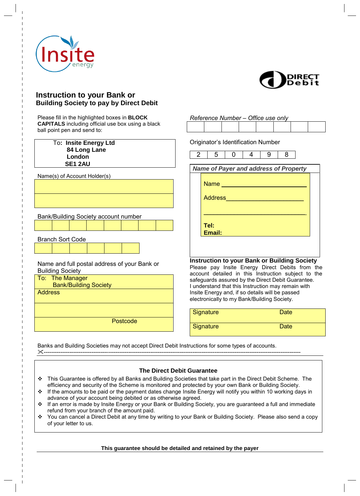



#### **Instruction to your Bank or Building Society to pay by Direct Debit**

Please fill in the highlighted boxes in **BLOCK CAPITALS** including official use box using a black ball point pen and send to:

| To: Insite Energy Ltd |
|-----------------------|
| 84 Long Lane          |
| London                |
| <b>SE1 2AU</b>        |

Name(s) of Account Holder(s)

Name and full postal address of your Bank or

Bank/Building Society account number

Building Society

To: The Manager

Branch Sort Code

Bank/Building Society

**Address** 

**Postcode** 

| Reference Number - Office use only |  |  |
|------------------------------------|--|--|
|                                    |  |  |

Originator's Identification Number

| 5                             |                                                                                                        | g | 8 |  |
|-------------------------------|--------------------------------------------------------------------------------------------------------|---|---|--|
|                               | <b>Name of Payer and address of Property</b>                                                           |   |   |  |
| <b>Name</b><br><b>Address</b> |                                                                                                        |   |   |  |
| Tel:<br>Email:                |                                                                                                        |   |   |  |
|                               |                                                                                                        |   |   |  |
|                               | <b>Instruction to your Bank or Building Society</b><br>Please pay Insite Energy Direct Debits from the |   |   |  |

| Signature | Date |
|-----------|------|
| Signature | Date |

Banks and Building Societies may not accept Direct Debit Instructions for some types of accounts. --------------------------------------------------------------------------------------------------------------------------------------------

#### **The Direct Debit Guarantee**

- This Guarantee is offered by all Banks and Building Societies that take part in the Direct Debit Scheme. The efficiency and security of the Scheme is monitored and protected by your own Bank or Building Society.
- \* If the amounts to be paid or the payment dates change Insite Energy will notify you within 10 working days in advance of your account being debited or as otherwise agreed.
- If an error is made by Insite Energy or your Bank or Building Society, you are guaranteed a full and immediate refund from your branch of the amount paid.
- \* You can cancel a Direct Debit at any time by writing to your Bank or Building Society. Please also send a copy of your letter to us.

**This guarantee should be detailed and retained by the payer**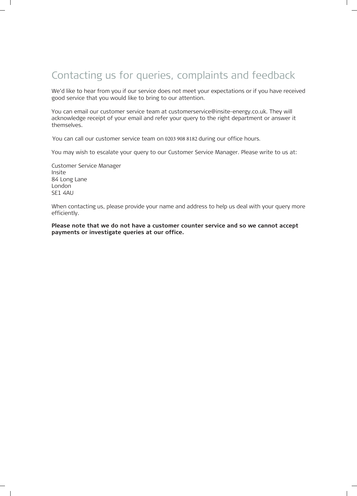# Contacting us for queries, complaints and feedback

We'd like to hear from you if our service does not meet your expectations or if you have received good service that you would like to bring to our attention.

You can email our customer service team at customerservice@insite-energy.co.uk. They will acknowledge receipt of your email and refer your query to the right department or answer it themselves.

You can call our customer service team on o You can call our customer service team on 0203 908 8182 during our office hours.

You may wish to escalate your query to our Customer Service Manager. Please write to us at:

Customer Service Manager Insite 84 Long Lane London SE1 4AU

When contacting us, please provide your name and address to help us deal with your query more efficiently.

**Please note that we do not have a customer counter service and so we cannot accept payments or investigate queries at our office.**